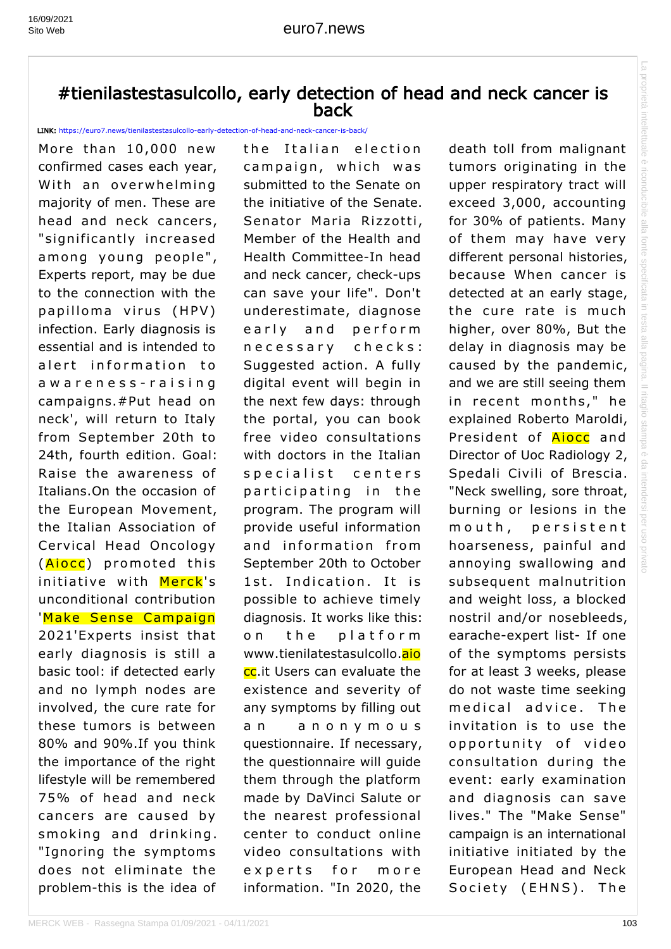## #tienilastestasulcollo, early detection of head and neck cancer is back

LINK: https://euro7.news/tienilastestasulcollo-early-detection-of-head-and-neck-cancer-is-back/

More than 10,000 new confirmed cases each year, With an overwhelming majority of men. These are head and neck cancers, "significantly increased among young people", Experts report, may be due to the connection with the papilloma virus (HPV) infection. Early diagnosis is essential and is intended to alert information to awareness-raising campaigns.#Put head on neck', will return to Italy from September 20th to 24th, fourth edition. Goal: Raise the awareness of Italians.On the occasion of the European Movement, the Italian Association of Cervical Head Oncology (**Aiocc**) promoted this initiative with Merck's unconditional contribution 'Make Sense Campaign 2021'Experts insist that early diagnosis is still a basic tool: if detected early and no lymph nodes are involved, the cure rate for these tumors is between 80% and 90%.If you think the importance of the right lifestyle will be remembered 75% of head and neck cancers are caused by smoking and drinking. "Ignoring the symptoms does not eliminate the problem-this is the idea of

the Italian election campaign, which was submitted to the Senate on the initiative of the Senate. Senator Maria Rizzotti, Member of the Health and Health Committee-In head and neck cancer, check-ups can save your life". Don't underestimate, diagnose early and perform necessary checks: Suggested action. A fully digital event will begin in the next few days: through the portal, you can book free video consultations with doctors in the Italian specialist centers participating in the program. The program will provide useful information and information from September 20th to October 1st. Indication. It is possible to achieve timely diagnosis. It works like this: on the platform www.tienilatestasulcollo.aio cc.it Users can evaluate the existence and severity of any symptoms by filling out an anonymous questionnaire. If necessary, the questionnaire will guide them through the platform made by DaVinci Salute or the nearest professional center to conduct online video consultations with experts for more information. "In 2020, the

death toll from malignant tumors originating in the upper respiratory tract will exceed 3,000, accounting for 30% of patients. Many of them may have very different personal histories, because When cancer is detected at an early stage, the cure rate is much higher, over 80%, But the delay in diagnosis may be caused by the pandemic, and we are still seeing them in recent months," he explained Roberto Maroldi, President of **Aiocc** and Director of Uoc Radiology 2, Spedali Civili of Brescia. "Neck swelling, sore throat, burning or lesions in the mouth, persistent hoarseness, painful and annoying swallowing and subsequent malnutrition and weight loss, a blocked nostril and/or nosebleeds, earache-expert list- If one of the symptoms persists for at least 3 weeks, please do not waste time seeking medical advice. The invitation is to use the opportunity of video consultation during the event: early examination and diagnosis can save lives." The "Make Sense" campaign is an international initiative initiated by the European Head and Neck Society (EHNS). The